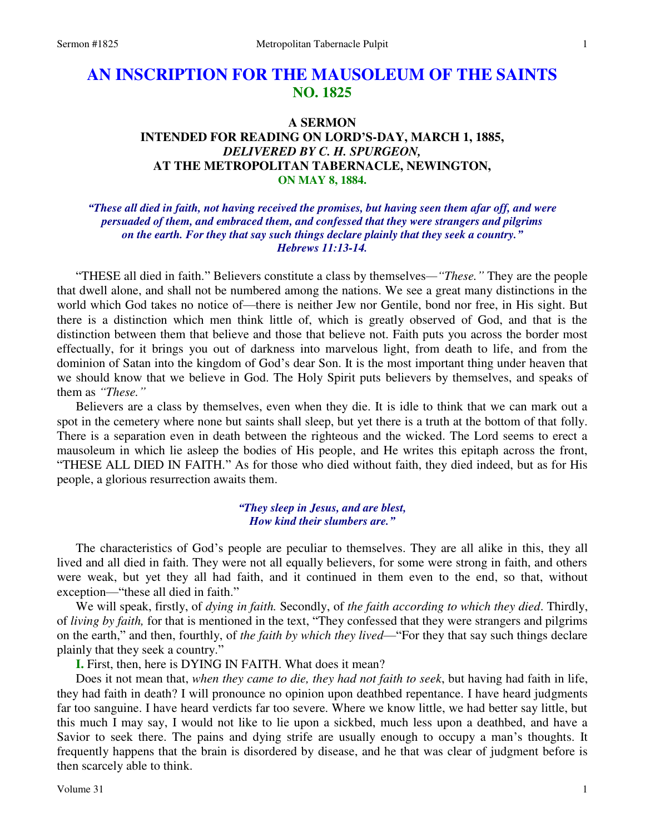# **AN INSCRIPTION FOR THE MAUSOLEUM OF THE SAINTS NO. 1825**

# **A SERMON INTENDED FOR READING ON LORD'S-DAY, MARCH 1, 1885,**  *DELIVERED BY C. H. SPURGEON,*  **AT THE METROPOLITAN TABERNACLE, NEWINGTON, ON MAY 8, 1884.**

# *"These all died in faith, not having received the promises, but having seen them afar off, and were persuaded of them, and embraced them, and confessed that they were strangers and pilgrims on the earth. For they that say such things declare plainly that they seek a country." Hebrews 11:13-14.*

"THESE all died in faith." Believers constitute a class by themselves*—"These."* They are the people that dwell alone, and shall not be numbered among the nations. We see a great many distinctions in the world which God takes no notice of—there is neither Jew nor Gentile, bond nor free, in His sight. But there is a distinction which men think little of, which is greatly observed of God, and that is the distinction between them that believe and those that believe not. Faith puts you across the border most effectually, for it brings you out of darkness into marvelous light, from death to life, and from the dominion of Satan into the kingdom of God's dear Son. It is the most important thing under heaven that we should know that we believe in God. The Holy Spirit puts believers by themselves, and speaks of them as *"These."*

 Believers are a class by themselves, even when they die. It is idle to think that we can mark out a spot in the cemetery where none but saints shall sleep, but yet there is a truth at the bottom of that folly. There is a separation even in death between the righteous and the wicked. The Lord seems to erect a mausoleum in which lie asleep the bodies of His people, and He writes this epitaph across the front, "THESE ALL DIED IN FAITH." As for those who died without faith, they died indeed, but as for His people, a glorious resurrection awaits them.

#### *"They sleep in Jesus, and are blest, How kind their slumbers are."*

 The characteristics of God's people are peculiar to themselves. They are all alike in this, they all lived and all died in faith. They were not all equally believers, for some were strong in faith, and others were weak, but yet they all had faith, and it continued in them even to the end, so that, without exception—"these all died in faith."

 We will speak, firstly, of *dying in faith.* Secondly, of *the faith according to which they died*. Thirdly, of *living by faith,* for that is mentioned in the text, "They confessed that they were strangers and pilgrims on the earth," and then, fourthly, of *the faith by which they lived*—"For they that say such things declare plainly that they seek a country."

**I.** First, then, here is DYING IN FAITH. What does it mean?

 Does it not mean that, *when they came to die, they had not faith to seek*, but having had faith in life, they had faith in death? I will pronounce no opinion upon deathbed repentance. I have heard judgments far too sanguine. I have heard verdicts far too severe. Where we know little, we had better say little, but this much I may say, I would not like to lie upon a sickbed, much less upon a deathbed, and have a Savior to seek there. The pains and dying strife are usually enough to occupy a man's thoughts. It frequently happens that the brain is disordered by disease, and he that was clear of judgment before is then scarcely able to think.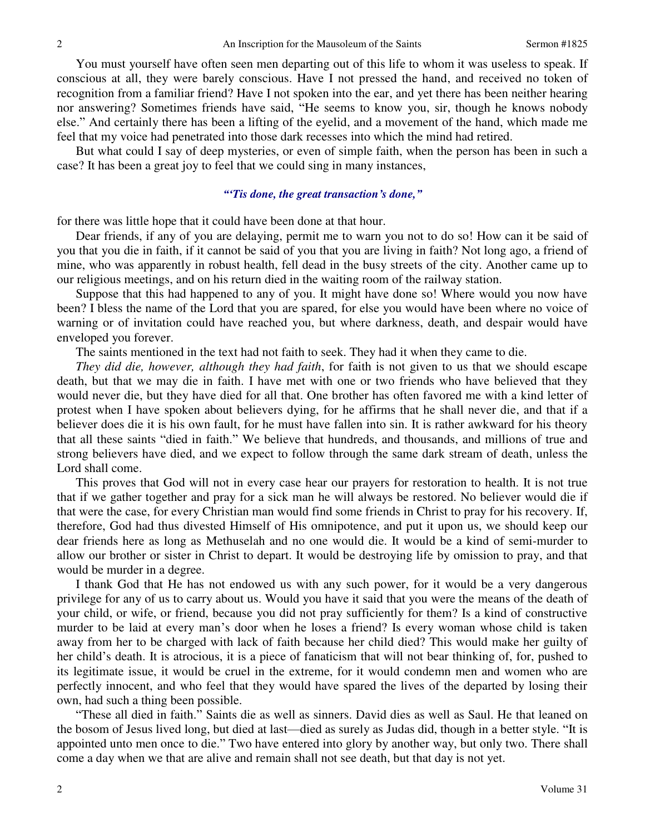You must yourself have often seen men departing out of this life to whom it was useless to speak. If conscious at all, they were barely conscious. Have I not pressed the hand, and received no token of recognition from a familiar friend? Have I not spoken into the ear, and yet there has been neither hearing nor answering? Sometimes friends have said, "He seems to know you, sir, though he knows nobody else." And certainly there has been a lifting of the eyelid, and a movement of the hand, which made me feel that my voice had penetrated into those dark recesses into which the mind had retired.

 But what could I say of deep mysteries, or even of simple faith, when the person has been in such a case? It has been a great joy to feel that we could sing in many instances,

#### *"'Tis done, the great transaction's done,"*

for there was little hope that it could have been done at that hour.

 Dear friends, if any of you are delaying, permit me to warn you not to do so! How can it be said of you that you die in faith, if it cannot be said of you that you are living in faith? Not long ago, a friend of mine, who was apparently in robust health, fell dead in the busy streets of the city. Another came up to our religious meetings, and on his return died in the waiting room of the railway station.

 Suppose that this had happened to any of you. It might have done so! Where would you now have been? I bless the name of the Lord that you are spared, for else you would have been where no voice of warning or of invitation could have reached you, but where darkness, death, and despair would have enveloped you forever.

The saints mentioned in the text had not faith to seek. They had it when they came to die.

*They did die, however, although they had faith*, for faith is not given to us that we should escape death, but that we may die in faith. I have met with one or two friends who have believed that they would never die, but they have died for all that. One brother has often favored me with a kind letter of protest when I have spoken about believers dying, for he affirms that he shall never die, and that if a believer does die it is his own fault, for he must have fallen into sin. It is rather awkward for his theory that all these saints "died in faith." We believe that hundreds, and thousands, and millions of true and strong believers have died, and we expect to follow through the same dark stream of death, unless the Lord shall come.

 This proves that God will not in every case hear our prayers for restoration to health. It is not true that if we gather together and pray for a sick man he will always be restored. No believer would die if that were the case, for every Christian man would find some friends in Christ to pray for his recovery. If, therefore, God had thus divested Himself of His omnipotence, and put it upon us, we should keep our dear friends here as long as Methuselah and no one would die. It would be a kind of semi-murder to allow our brother or sister in Christ to depart. It would be destroying life by omission to pray, and that would be murder in a degree.

 I thank God that He has not endowed us with any such power, for it would be a very dangerous privilege for any of us to carry about us. Would you have it said that you were the means of the death of your child, or wife, or friend, because you did not pray sufficiently for them? Is a kind of constructive murder to be laid at every man's door when he loses a friend? Is every woman whose child is taken away from her to be charged with lack of faith because her child died? This would make her guilty of her child's death. It is atrocious, it is a piece of fanaticism that will not bear thinking of, for, pushed to its legitimate issue, it would be cruel in the extreme, for it would condemn men and women who are perfectly innocent, and who feel that they would have spared the lives of the departed by losing their own, had such a thing been possible.

"These all died in faith." Saints die as well as sinners. David dies as well as Saul. He that leaned on the bosom of Jesus lived long, but died at last—died as surely as Judas did, though in a better style. "It is appointed unto men once to die." Two have entered into glory by another way, but only two. There shall come a day when we that are alive and remain shall not see death, but that day is not yet.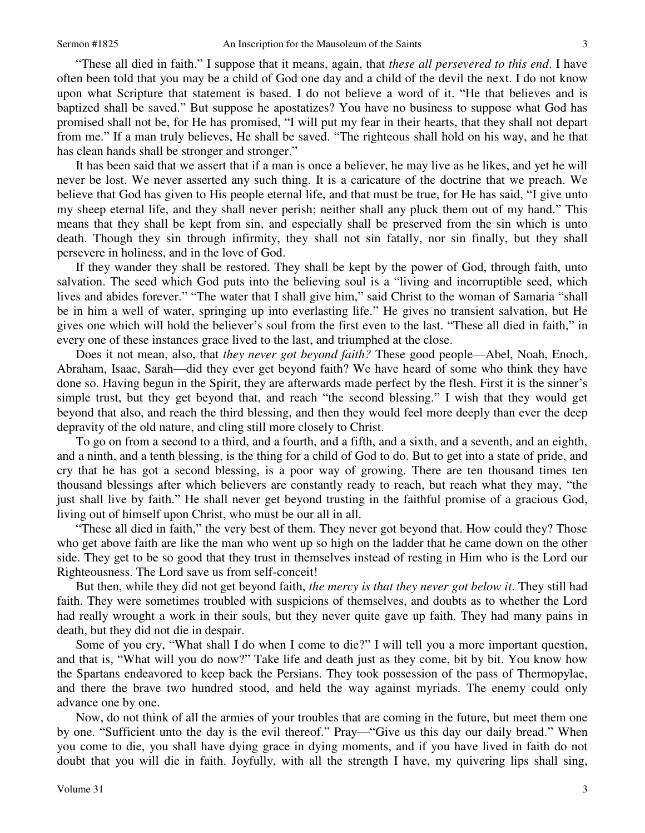"These all died in faith." I suppose that it means, again, that *these all persevered to this end*. I have often been told that you may be a child of God one day and a child of the devil the next. I do not know upon what Scripture that statement is based. I do not believe a word of it. "He that believes and is baptized shall be saved." But suppose he apostatizes? You have no business to suppose what God has promised shall not be, for He has promised, "I will put my fear in their hearts, that they shall not depart from me." If a man truly believes, He shall be saved. "The righteous shall hold on his way, and he that has clean hands shall be stronger and stronger."

 It has been said that we assert that if a man is once a believer, he may live as he likes, and yet he will never be lost. We never asserted any such thing. It is a caricature of the doctrine that we preach. We believe that God has given to His people eternal life, and that must be true, for He has said, "I give unto my sheep eternal life, and they shall never perish; neither shall any pluck them out of my hand." This means that they shall be kept from sin, and especially shall be preserved from the sin which is unto death. Though they sin through infirmity, they shall not sin fatally, nor sin finally, but they shall persevere in holiness, and in the love of God.

 If they wander they shall be restored. They shall be kept by the power of God, through faith, unto salvation. The seed which God puts into the believing soul is a "living and incorruptible seed, which lives and abides forever." "The water that I shall give him," said Christ to the woman of Samaria "shall be in him a well of water, springing up into everlasting life." He gives no transient salvation, but He gives one which will hold the believer's soul from the first even to the last. "These all died in faith," in every one of these instances grace lived to the last, and triumphed at the close.

 Does it not mean, also, that *they never got beyond faith?* These good people—Abel, Noah, Enoch, Abraham, Isaac, Sarah—did they ever get beyond faith? We have heard of some who think they have done so. Having begun in the Spirit, they are afterwards made perfect by the flesh. First it is the sinner's simple trust, but they get beyond that, and reach "the second blessing." I wish that they would get beyond that also, and reach the third blessing, and then they would feel more deeply than ever the deep depravity of the old nature, and cling still more closely to Christ.

 To go on from a second to a third, and a fourth, and a fifth, and a sixth, and a seventh, and an eighth, and a ninth, and a tenth blessing, is the thing for a child of God to do. But to get into a state of pride, and cry that he has got a second blessing, is a poor way of growing. There are ten thousand times ten thousand blessings after which believers are constantly ready to reach, but reach what they may, "the just shall live by faith." He shall never get beyond trusting in the faithful promise of a gracious God, living out of himself upon Christ, who must be our all in all.

"These all died in faith," the very best of them. They never got beyond that. How could they? Those who get above faith are like the man who went up so high on the ladder that he came down on the other side. They get to be so good that they trust in themselves instead of resting in Him who is the Lord our Righteousness. The Lord save us from self-conceit!

 But then, while they did not get beyond faith, *the mercy is that they never got below it*. They still had faith. They were sometimes troubled with suspicions of themselves, and doubts as to whether the Lord had really wrought a work in their souls, but they never quite gave up faith. They had many pains in death, but they did not die in despair.

 Some of you cry, "What shall I do when I come to die?" I will tell you a more important question, and that is, "What will you do now?" Take life and death just as they come, bit by bit. You know how the Spartans endeavored to keep back the Persians. They took possession of the pass of Thermopylae, and there the brave two hundred stood, and held the way against myriads. The enemy could only advance one by one.

 Now, do not think of all the armies of your troubles that are coming in the future, but meet them one by one. "Sufficient unto the day is the evil thereof." Pray—"Give us this day our daily bread." When you come to die, you shall have dying grace in dying moments, and if you have lived in faith do not doubt that you will die in faith. Joyfully, with all the strength I have, my quivering lips shall sing,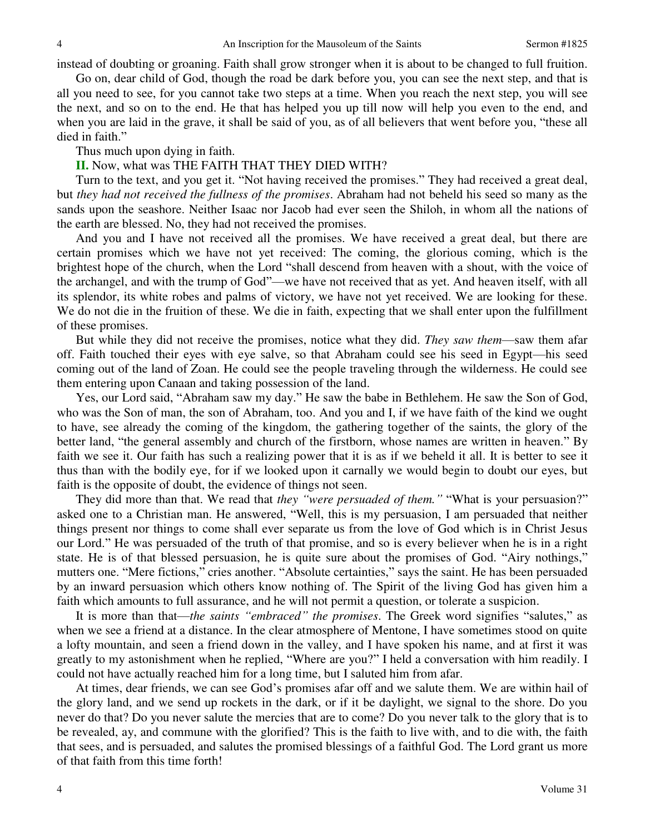instead of doubting or groaning. Faith shall grow stronger when it is about to be changed to full fruition.

 Go on, dear child of God, though the road be dark before you, you can see the next step, and that is all you need to see, for you cannot take two steps at a time. When you reach the next step, you will see the next, and so on to the end. He that has helped you up till now will help you even to the end, and when you are laid in the grave, it shall be said of you, as of all believers that went before you, "these all died in faith."

Thus much upon dying in faith.

**II.** Now, what was THE FAITH THAT THEY DIED WITH?

 Turn to the text, and you get it. "Not having received the promises." They had received a great deal, but *they had not received the fullness of the promises*. Abraham had not beheld his seed so many as the sands upon the seashore. Neither Isaac nor Jacob had ever seen the Shiloh, in whom all the nations of the earth are blessed. No, they had not received the promises.

 And you and I have not received all the promises. We have received a great deal, but there are certain promises which we have not yet received: The coming, the glorious coming, which is the brightest hope of the church, when the Lord "shall descend from heaven with a shout, with the voice of the archangel, and with the trump of God"—we have not received that as yet. And heaven itself, with all its splendor, its white robes and palms of victory, we have not yet received. We are looking for these. We do not die in the fruition of these. We die in faith, expecting that we shall enter upon the fulfillment of these promises.

 But while they did not receive the promises, notice what they did. *They saw them*—saw them afar off. Faith touched their eyes with eye salve, so that Abraham could see his seed in Egypt—his seed coming out of the land of Zoan. He could see the people traveling through the wilderness. He could see them entering upon Canaan and taking possession of the land.

 Yes, our Lord said, "Abraham saw my day." He saw the babe in Bethlehem. He saw the Son of God, who was the Son of man, the son of Abraham, too. And you and I, if we have faith of the kind we ought to have, see already the coming of the kingdom, the gathering together of the saints, the glory of the better land, "the general assembly and church of the firstborn, whose names are written in heaven." By faith we see it. Our faith has such a realizing power that it is as if we beheld it all. It is better to see it thus than with the bodily eye, for if we looked upon it carnally we would begin to doubt our eyes, but faith is the opposite of doubt, the evidence of things not seen.

 They did more than that. We read that *they "were persuaded of them."* "What is your persuasion?" asked one to a Christian man. He answered, "Well, this is my persuasion, I am persuaded that neither things present nor things to come shall ever separate us from the love of God which is in Christ Jesus our Lord." He was persuaded of the truth of that promise, and so is every believer when he is in a right state. He is of that blessed persuasion, he is quite sure about the promises of God. "Airy nothings," mutters one. "Mere fictions," cries another. "Absolute certainties," says the saint. He has been persuaded by an inward persuasion which others know nothing of. The Spirit of the living God has given him a faith which amounts to full assurance, and he will not permit a question, or tolerate a suspicion.

 It is more than that—*the saints "embraced" the promises*. The Greek word signifies "salutes," as when we see a friend at a distance. In the clear atmosphere of Mentone, I have sometimes stood on quite a lofty mountain, and seen a friend down in the valley, and I have spoken his name, and at first it was greatly to my astonishment when he replied, "Where are you?" I held a conversation with him readily. I could not have actually reached him for a long time, but I saluted him from afar.

 At times, dear friends, we can see God's promises afar off and we salute them. We are within hail of the glory land, and we send up rockets in the dark, or if it be daylight, we signal to the shore. Do you never do that? Do you never salute the mercies that are to come? Do you never talk to the glory that is to be revealed, ay, and commune with the glorified? This is the faith to live with, and to die with, the faith that sees, and is persuaded, and salutes the promised blessings of a faithful God. The Lord grant us more of that faith from this time forth!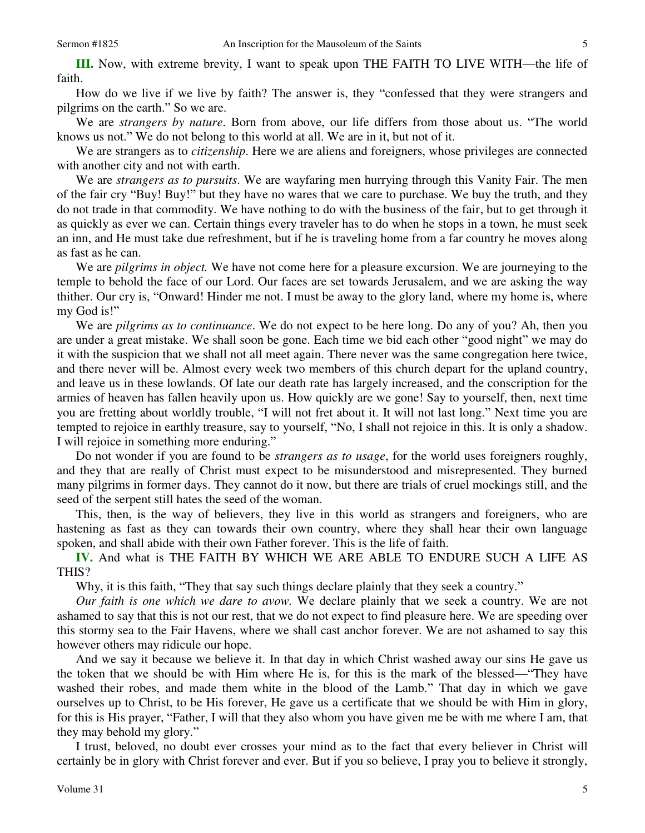How do we live if we live by faith? The answer is, they "confessed that they were strangers and pilgrims on the earth." So we are.

 We are *strangers by nature*. Born from above, our life differs from those about us. "The world knows us not." We do not belong to this world at all. We are in it, but not of it.

 We are strangers as to *citizenship*. Here we are aliens and foreigners, whose privileges are connected with another city and not with earth.

 We are *strangers as to pursuits*. We are wayfaring men hurrying through this Vanity Fair. The men of the fair cry "Buy! Buy!" but they have no wares that we care to purchase. We buy the truth, and they do not trade in that commodity. We have nothing to do with the business of the fair, but to get through it as quickly as ever we can. Certain things every traveler has to do when he stops in a town, he must seek an inn, and He must take due refreshment, but if he is traveling home from a far country he moves along as fast as he can.

 We are *pilgrims in object.* We have not come here for a pleasure excursion. We are journeying to the temple to behold the face of our Lord. Our faces are set towards Jerusalem, and we are asking the way thither. Our cry is, "Onward! Hinder me not. I must be away to the glory land, where my home is, where my God is!"

 We are *pilgrims as to continuance*. We do not expect to be here long. Do any of you? Ah, then you are under a great mistake. We shall soon be gone. Each time we bid each other "good night" we may do it with the suspicion that we shall not all meet again. There never was the same congregation here twice, and there never will be. Almost every week two members of this church depart for the upland country, and leave us in these lowlands. Of late our death rate has largely increased, and the conscription for the armies of heaven has fallen heavily upon us. How quickly are we gone! Say to yourself, then, next time you are fretting about worldly trouble, "I will not fret about it. It will not last long." Next time you are tempted to rejoice in earthly treasure, say to yourself, "No, I shall not rejoice in this. It is only a shadow. I will rejoice in something more enduring."

 Do not wonder if you are found to be *strangers as to usage*, for the world uses foreigners roughly, and they that are really of Christ must expect to be misunderstood and misrepresented. They burned many pilgrims in former days. They cannot do it now, but there are trials of cruel mockings still, and the seed of the serpent still hates the seed of the woman.

 This, then, is the way of believers, they live in this world as strangers and foreigners, who are hastening as fast as they can towards their own country, where they shall hear their own language spoken, and shall abide with their own Father forever. This is the life of faith.

**IV.** And what is THE FAITH BY WHICH WE ARE ABLE TO ENDURE SUCH A LIFE AS THIS?

Why, it is this faith, "They that say such things declare plainly that they seek a country."

*Our faith is one which we dare to avow.* We declare plainly that we seek a country. We are not ashamed to say that this is not our rest, that we do not expect to find pleasure here. We are speeding over this stormy sea to the Fair Havens, where we shall cast anchor forever. We are not ashamed to say this however others may ridicule our hope.

 And we say it because we believe it. In that day in which Christ washed away our sins He gave us the token that we should be with Him where He is, for this is the mark of the blessed—"They have washed their robes, and made them white in the blood of the Lamb." That day in which we gave ourselves up to Christ, to be His forever, He gave us a certificate that we should be with Him in glory, for this is His prayer, "Father, I will that they also whom you have given me be with me where I am, that they may behold my glory."

 I trust, beloved, no doubt ever crosses your mind as to the fact that every believer in Christ will certainly be in glory with Christ forever and ever. But if you so believe, I pray you to believe it strongly,